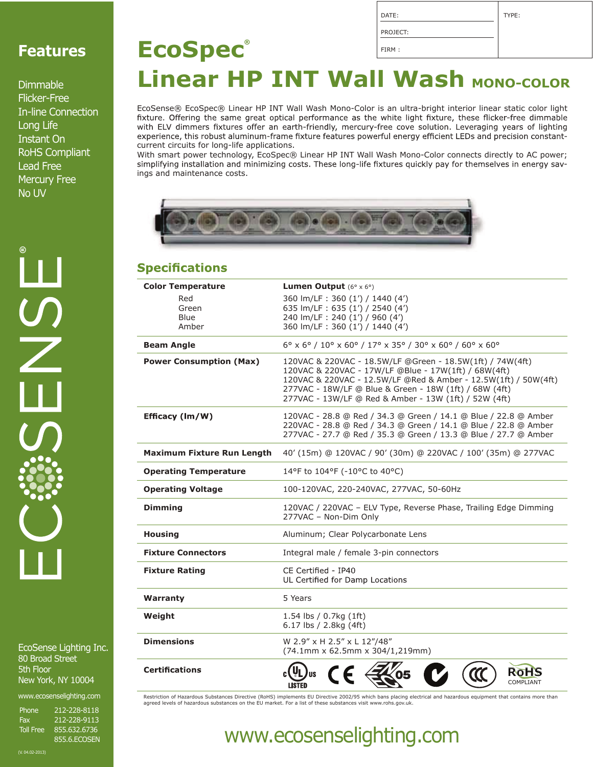### **Features**

Dimmable Flicker-Free In-line Connection Long Life Instant On RoHS Compliant Lead Free Mercury Free No UV

EcoSense Lighting Inc. 80 Broad Street 5th Floor New York, NY 10004

www.ecosenselighting.com

Phone 212-228-8118 Fax 212-228-9113<br>Toll Free 855.632.6736 Toll Free 855.632.6736 855.6.ECOSEN

### PROJECT: FIRM : **EcoSpec® Linear HP INT Wall Wash MONO-COLOR**

DATE:

TYPE:

EcoSense® EcoSpec® Linear HP INT Wall Wash Mono-Color is an ultra-bright interior linear static color light fixture. Offering the same great optical performance as the white light fixture, these flicker-free dimmable with ELV dimmers fixtures offer an earth-friendly, mercury-free cove solution. Leveraging years of lighting experience, this robust aluminum-frame fixture features powerful energy efficient LEDs and precision constantcurrent circuits for long-life applications.

With smart power technology, EcoSpec® Linear HP INT Wall Wash Mono-Color connects directly to AC power; simplifying installation and minimizing costs. These long-life fixtures quickly pay for themselves in energy savings and maintenance costs.



#### **Specifications**

| <b>Color Temperature</b>          | <b>Lumen Output</b> $(6^{\circ} \times 6^{\circ})$                                                                                                                                                                                                                                                      |  |
|-----------------------------------|---------------------------------------------------------------------------------------------------------------------------------------------------------------------------------------------------------------------------------------------------------------------------------------------------------|--|
| Red                               | 360 lm/LF: 360 (1') / 1440 (4')                                                                                                                                                                                                                                                                         |  |
| Green                             | 635 lm/LF: 635 (1') / 2540 (4')                                                                                                                                                                                                                                                                         |  |
| Blue                              | 240 lm/LF: 240 (1') / 960 (4')                                                                                                                                                                                                                                                                          |  |
| Amber                             | 360 lm/LF: 360 (1') / 1440 (4')                                                                                                                                                                                                                                                                         |  |
| <b>Beam Angle</b>                 | 6° x 6° / 10° x 60° / 17° x 35° / 30° x 60° / 60° x 60°                                                                                                                                                                                                                                                 |  |
| <b>Power Consumption (Max)</b>    | 120VAC & 220VAC - 18.5W/LF @Green - 18.5W(1ft) / 74W(4ft)<br>120VAC & 220VAC - 17W/LF @Blue - 17W(1ft) / 68W(4ft)<br>120VAC & 220VAC - 12.5W/LF @Red & Amber - 12.5W(1ft) / 50W(4ft)<br>277VAC - 18W/LF @ Blue & Green - 18W (1ft) / 68W (4ft)<br>277VAC - 13W/LF @ Red & Amber - 13W (1ft) / 52W (4ft) |  |
| Efficacy (Im/W)                   | 120VAC - 28.8 @ Red / 34.3 @ Green / 14.1 @ Blue / 22.8 @ Amber<br>220VAC - 28.8 @ Red / 34.3 @ Green / 14.1 @ Blue / 22.8 @ Amber<br>277VAC - 27.7 @ Red / 35.3 @ Green / 13.3 @ Blue / 27.7 @ Amber                                                                                                   |  |
| <b>Maximum Fixture Run Length</b> | 40' (15m) @ 120VAC / 90' (30m) @ 220VAC / 100' (35m) @ 277VAC                                                                                                                                                                                                                                           |  |
| <b>Operating Temperature</b>      | 14°F to 104°F (-10°C to 40°C)                                                                                                                                                                                                                                                                           |  |
| <b>Operating Voltage</b>          | 100-120VAC, 220-240VAC, 277VAC, 50-60Hz                                                                                                                                                                                                                                                                 |  |
| <b>Dimming</b>                    | 120VAC / 220VAC - ELV Type, Reverse Phase, Trailing Edge Dimming<br>277VAC - Non-Dim Only                                                                                                                                                                                                               |  |
| <b>Housing</b>                    | Aluminum; Clear Polycarbonate Lens                                                                                                                                                                                                                                                                      |  |
| <b>Fixture Connectors</b>         | Integral male / female 3-pin connectors                                                                                                                                                                                                                                                                 |  |
| <b>Fixture Rating</b>             | CE Certified - IP40<br>UL Certified for Damp Locations                                                                                                                                                                                                                                                  |  |
| Warranty                          | 5 Years                                                                                                                                                                                                                                                                                                 |  |
| Weight                            | 1.54 lbs $/ 0.7$ kg $(1ft)$<br>6.17 lbs / 2.8kg (4ft)                                                                                                                                                                                                                                                   |  |
| <b>Dimensions</b>                 | W 2.9" x H 2.5" x L 12"/48"<br>(74.1mm x 62.5mm x 304/1,219mm)                                                                                                                                                                                                                                          |  |
| <b>Certifications</b>             | COMPLIANT                                                                                                                                                                                                                                                                                               |  |

Restriction of Hazardous Substances Directive (RoHS) implements EU Directive 2002/95 which bans placing electrical and hazardous equipment that contains more than<br>agreed levels of hazardous substances on the EU market. For

### www.ecosenselighting.com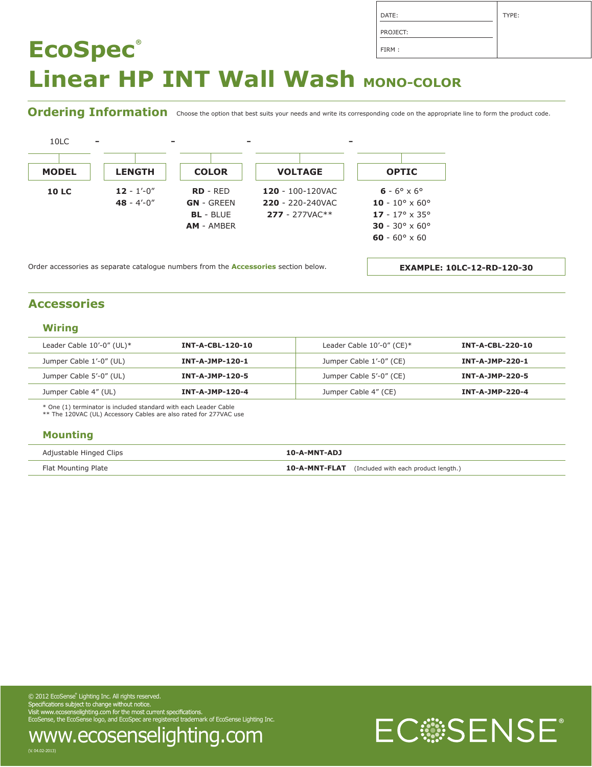Ordering Information choose the option that best suits your needs and write its corresponding code on the appropriate line to form the product code.



Order accessories as separate catalogue numbers from the **Accessories** section below.

**EXAMPLE: 10LC-12-RD-120-30**

#### **Accessories**

#### **Wiring**

| Leader Cable $10'-0''$ (UL)* | <b>INT-A-CBL-120-10</b> | Leader Cable $10'-0''$ (CE)* | <b>INT-A-CBL-220-10</b> |
|------------------------------|-------------------------|------------------------------|-------------------------|
| Jumper Cable 1'-0" (UL)      | INT-A-JMP-120-1         | Jumper Cable 1'-0" (CE)      | INT-A-JMP-220-1         |
| Jumper Cable 5'-0" (UL)      | <b>INT-A-JMP-120-5</b>  | Jumper Cable 5'-0" (CE)      | <b>INT-A-JMP-220-5</b>  |
| Jumper Cable 4" (UL)         | INT-A-JMP-120-4         | Jumper Cable 4" (CE)         | INT-A-JMP-220-4         |

\* One (1) terminator is included standard with each Leader Cable

\*\* The 120VAC (UL) Accessory Cables are also rated for 277VAC use

#### **Mounting**

| Adjustable Hinged Clips | 10-A-MNT-ADJ                                              |
|-------------------------|-----------------------------------------------------------|
| Flat Mounting Plate     | <b>10-A-MNT-FLAT</b> (Included with each product length.) |

© 2012 EcoSense® Lighting Inc. All rights reserved. EcoSense, the EcoSense logo, and EcoSpec are registered trademark of EcoSense Lighting Inc.



DATE: PROJECT: TYPE: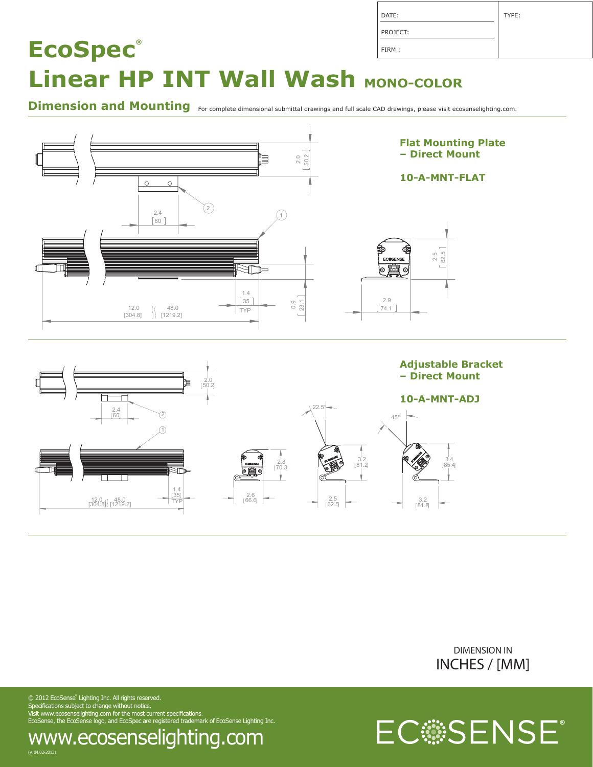| DATE:    | TYPE: |
|----------|-------|
| PROJECT: |       |
| FIRM:    |       |

Dimension and Mounting For complete dimensional submittal drawings and full scale CAD drawings, please visit ecosenselighting.com.







 $\odot$  2012 EcoSense" Lighting Inc. All rights reserved. EcoSense, the EcoSense logo, and EcoSpec are registered trademark of EcoSense Lighting Inc.

#### (V. 04.02-2013) www.ecosenselighting.com

ECSSENSE®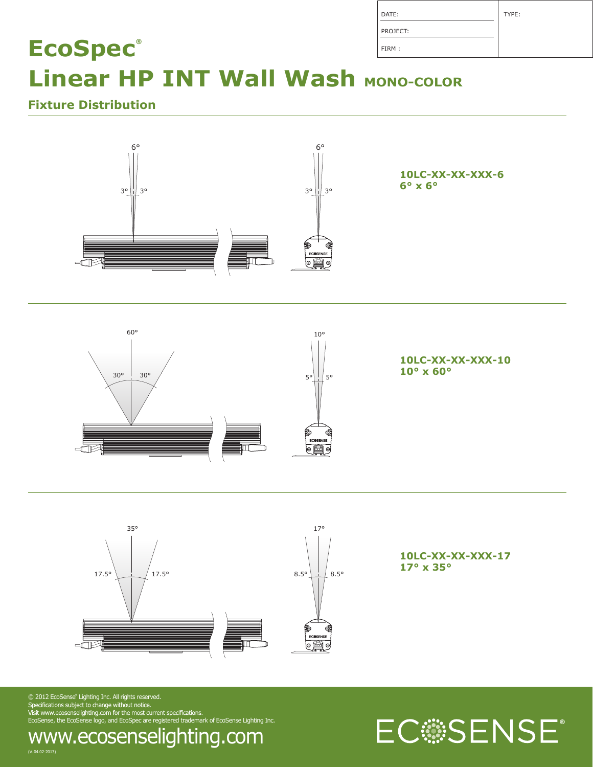| DATE:    | TYPE: |
|----------|-------|
| PROJECT: |       |
| FIRM:    |       |

### **Fixture Distribution**







**10LC-XX-XX-XXX-17 17° x 35°**

 $\odot$  2012 EcoSense $\degree$  Lighting Inc. All rights reserved. EcoSense, the EcoSense logo, and EcoSpec are registered trademark of EcoSense Lighting Inc.

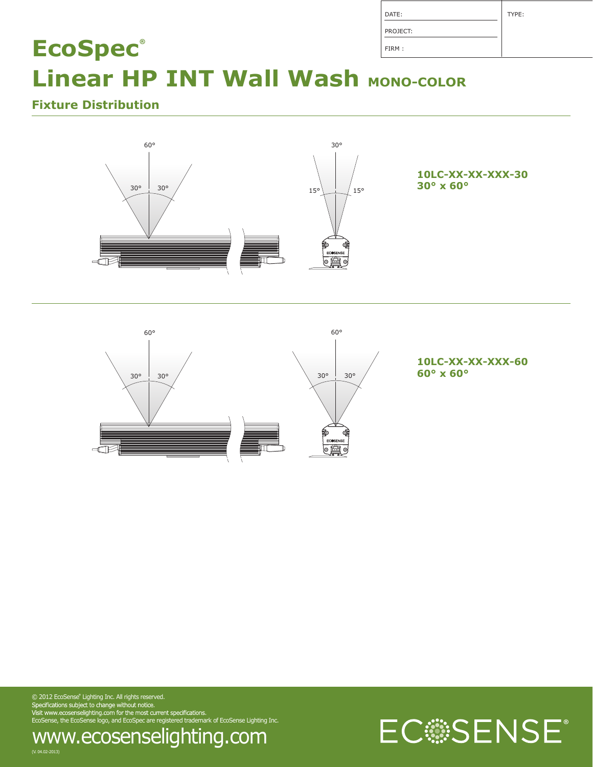| DATE:    | TYPE: |
|----------|-------|
| PROJECT: |       |
| FIRM:    |       |

### **Fixture Distribution**





**10LC-XX-XX-XXX-60**

 $\odot$  2012 EcoSense $\degree$  Lighting Inc. All rights reserved. EcoSense, the EcoSense logo, and EcoSpec are registered trademark of EcoSense Lighting Inc.